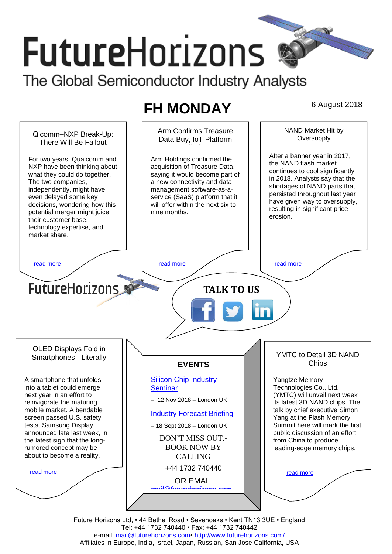# **FutureHorizons**

The Global Semiconductor Industry Analysts

## **FH MONDAY** 6 August 2018

NAND Market Hit by Arm Confirms Treasure Q'comm–NXP Break-Up: **Oversupply** Data Buy, IoT Platform There Will Be Fallout After a banner year in 2017, For two years, Qualcomm and Arm Holdings confirmed the the NAND flash market NXP have been thinking about acquisition of Treasure Data, continues to cool significantly what they could do together. saying it would become part of in 2018. Analysts say that the The two companies, a new connectivity and data shortages of NAND parts that management software-as-aindependently, might have persisted throughout last year even delayed some key service (SaaS) platform that it have given way to oversupply. decisions, wondering how this will offer within the next six to resulting in significant price potential merger might juice nine months. erosion. their customer base, technology expertise, and market share. [read more](#page-1-1) that the second contract the second contract of the read more that the read more that the read more **Future**Horizons **TALK TO US** OLED Displays Fold in YMTC to Detail 3D NAND Smartphones - Literally **Chips EVENTS** [Silicon Chip Industry](http://www.futurehorizons.com/page/12/silicon-chip-training)  A smartphone that unfolds Yangtze Memory into a tablet could emerge Technologies Co., Ltd. **[Seminar](http://www.futurehorizons.com/page/12/silicon-chip-training)** (YMTC) will unveil next week next year in an effort to – 12 Nov 2018 – London UK its latest 3D NAND chips. The reinvigorate the maturing mobile market. A bendable talk by chief executive Simon [Industry Forecast Briefing](http://www.futurehorizons.com/page/13/Semiconductor-Market-Forecast-Seminar) screen passed U.S. safety Yang at the Flash Memory tests, Samsung Display Summit here will mark the first – 18 Sept 2018 – London UK announced late last week, in public discussion of an effort DON'T MISS OUT. the latest sign that the longfrom China to produce BOOK NOW BY rumored concept may be leading-edge memory chips. about to become a reality.CALLING +44 1732 740440 [read more](#page-1-3) [read more](#page-1-4) OR EMAIL *[mail@futurehorizons.com](mailto:mail@futurehorizons.com)*

Future Horizons Ltd, • 44 Bethel Road • Sevenoaks • Kent TN13 3UE • England Tel: +44 1732 740440 • Fax: +44 1732 740442 e-mail: [mail@futurehorizons.com•](../FH%20Monday%20-%202017/mail@futurehorizons.com)<http://www.futurehorizons.com/> Affiliates in Europe, India, Israel, Japan, Russian, San Jose California, USA